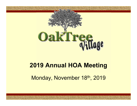

# 2019 Annual HOA Meeting

Monday, November 18th, 2019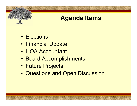# Agenda Items

- 
- Elections<br>
Particular Contract Contract Contract Contract Contract Contract Contract Contract Contract Contract Contract Contract Contract Contract Contract Contract Contract Contract Contract Contract Contract Contract Co **Example: The Control of Agenda Iten<br>• Elections<br>• Financial Update<br>• HOA Accountant**
- 
- Evention Contract Contract Contract Contract Contract Contract Contract Contract Contract Contract Contract Contract<br>
 HOA Accountant<br>
 Board Accomplishment **Agenda Items<br>• Elections<br>• Financial Update<br>• HOA Accountant<br>• Board Accomplishments<br>• Future Projects**
- 
- Elections<br>• Financial Update<br>• HOA Accountant<br>• Board Accomplishments<br>• Future Projects<br>• Questions and Open Disc • Elections<br>• Financial Update<br>• HOA Accountant<br>• Board Accomplishments<br>• Future Projects<br>• Questions and Open Discussion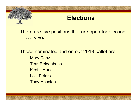

# **Elections**

There are five positions that are open for election every year. Electio<br>
ere are five positions that are<br>
every year.<br>
Dose nominated and on our 2<br>
— Mary Danz<br>
— Terri Reidenbach<br>
— Kirstin Hood ere are five positions that are devery year.<br>
The positions that are devery year.<br>
Dose nominated and on our 201<br>
- Mary Danz<br>
- Terri Reidenbach<br>
- Kirstin Hood ere are five positions that are<br>every year.<br>Ose nominated and on our 2<br>— Mary Danz<br>— Terri Reidenbach<br>— Kirstin Hood<br>— Lois Peters ere are live positions that are<br>every year.<br>Ose nominated and on our 2<br>— Mary Danz<br>— Terri Reidenbach<br>— Kirstin Hood<br>— Lois Peters<br>— Tony Houston

Those nominated and on our 2019 ballot are: every year.<br>
Sose nominated and on our 2<br>
- Mary Danz<br>
- Terri Reidenbach<br>
- Kirstin Hood<br>
- Lois Peters<br>
- Tony Houston

- 
- 
- 
- 
-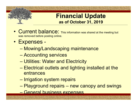#### Financial Update as of October 31, 2019

- Current balance: This information was shared at the meeting but<br>• Current balance: This information was shared at the meeting but<br>• Expenses was removed before posting online. Finance<br>
• Current balance: This information as of Oce<br>
• Expenses -<br>
- Mowing/Landscaping m – Mowing/Landscaping maintenance Financial Up<br>
as of October 31,<br>
Current balance: This information was share<br>
Expenses -<br>
— Mowing/Landscaping maintenan<br>
— Accounting services<br>
— Utilities: Water and Electricity<br>
— Electrical sutlate and lighting inco Experience as of October 31, 2019<br>
Current balance: This information was shared at the meeting<br>
Tas removed before posting online.<br>
Expenses -<br>
— Mowing/Landscaping maintenance<br>
— Accounting services<br>
— Utilities: Water an
- -
	-
	-
- Electrical outlets and lighting installed at the meeting<br>
Fragmoved before posting online.<br>
Expenses -<br>
 Mowing/Landscaping maintenance<br>
 Accounting services<br>
 Utilities: Water and Electricity<br>
 Electrical outlets and entrances removed before posting online.<br>
Expenses –<br>
— Mowing/Landscaping maintenance<br>
— Accounting services<br>
— Utilities: Water and Electricity<br>
— Electrical outlets and lighting installe<br>
entrances<br>
— Irrigation system repairs<br>
— Experises -<br>
- Mowing/Landscaping maintenance<br>
- Accounting services<br>
- Utilities: Water and Electricity<br>
- Electrical outlets and lighting installed at the<br>
entrances<br>
- Irrigation system repairs<br>
- Playground repairs - n – Mowing/Landscaping mainte<br>– Accounting services<br>– Utilities: Water and Electricit<br>– Electrical outlets and lighting<br>entrances<br>– Irrigation system repairs<br>– Playground repairs – new canners<br>– General business expenses
	-
	-
	-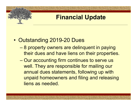# Financial Update

- 
- Example: The Pinancial Update<br>
 Outstanding 2019-20 Dues<br>
 8 property owners are delinquent in paying – 8 property owners are delinquent in paying their dues and have liens on their properties.
	- Our accounting firm continues to serve us well. They are responsible for mailing our annual dues statements, following up with unpaid homeowners and filing and releasing liens as needed.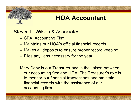# HOA Accountant

Steven L. Wilson & Associates

- 
- CPA, Accounting Firm MOA Accountant<br>
Extern L. Wilson & Associates<br>
– CPA, Accounting Firm<br>
– Maintains our HOA's official financial records<br>
– Makes all deposits to ensure proper record kee<br>
– Files any liens necessary for the year<br>
Mary Danz
- (A)<br>
Maintains our HOA Accountant<br>
 CPA, Accounting Firm<br>
 Maintains our HOA's official financial records<br>
 Makes all deposits to ensure proper record keeping<br>
 Makes all deposits to ensure proper record keeping<br>
 Fil 1992 – Makes all deposits to ensure proper record keeping<br>– Maintains our HOA's official financial records<br>– Maintains our HOA's official financial records<br>– Makes all deposits to ensure proper record keeping<br>– Files any l
- 

Mary Danz is our Treasurer and is the liaison between our accounting firm and HOA. The Treasurer's role is to monitor our financial transactions and maintain financial records with the assistance of our accounting firm.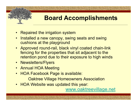

# Board Accomplishments

- 
- **Example 2018 19 Accomplishments**<br>• Repaired the irrigation system<br>• Installed a new canopy, swing seats and swing<br>• cushions at the playground **ENDING REACT STAND TO SET SEARCH STAND REACT SEARCH STARN PRESENT SEARCH STANDARY SEAT STARN PRESENT SEAT SEAT SEAT SEAT SEARCH STARN STARN STARN STARN STARN STARN STARN STARN STARN STARN STARN STARN STARN STARN STARN STA** cushions at the playground
- **EXAM BOARD ACCOMPLISHMENTS<br>
 Repaired the irrigation system<br>
 Installed a new canopy, swing seats and swing<br>
 Approved round-rail, black vinyl coated chain-link<br>
 Francing for the properties that sit adjacent to the<br>** fencing for the properties that sit adjacent to the retention pond due to their exposure to high winds • Repaired the irrigation system<br>• Installed a new canopy, swing se<br>cushions at the playground<br>• Approved round-rail, black vinyl of<br>fencing for the properties that sit<br>• Newsletters/Flyers<br>• Annual HOA Meeting<br>• HOA Faceb • Repaired the irrigation system<br>
• Installed a new canopy, swing seats a<br>
cushions at the playground<br>
• Approved round-rail, black vinyl coate<br>
fencing for the properties that sit adja<br>
retention pond due to their exposur • Repaired the irrigation system<br>
• Installed a new canopy, swing seats and s<br>
cushions at the playground<br>
• Approved round-rail, black vinyl coated ch<br>
fencing for the properties that sit adjacent<br>
retention pond due to t vertisms at the playground<br>
• Approved round-rail, black vinyl coated chain-<br>
fencing for the properties that sit adjacent to the<br>
• retention pond due to their exposure to high w<br>
• Newsletters/Flyers<br>
• Annual HOA Meetin
- 
- 
- - Oaktree Village Homeowners Association
- 

www.oaktreevillage.net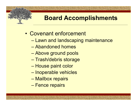# Board Accomplishments Example 1999<br>
• Covenant enforcement<br>
• Lawn and landscaping mainter France Correct Management<br>
France Correct Management<br>
Covenant enforcement<br>
- Lawn and landscaping maintenance<br>
- Abandoned homes<br>
- Abandoned homes Franch<br>
Franch Covenant enforcement<br>
– Lawn and landscaping mainten<br>
– Abandoned homes<br>
– Above ground pools<br>
– Treeb/debrie steresse – Above ground pools

- 
- Trash/debris storage –<br>
Dovenant enforcement<br>
– Lawn and landscaping ma<br>
– Abandoned homes<br>
– Above ground pools<br>
– Trash/debris storage<br>
– House paint color<br>
– Inoperable vehicles<br>
– Mailhov rensime Covenant enforcement<br>
- Lawn and landscaping mainten:<br>
- Abandoned homes<br>
- Above ground pools<br>
- Trash/debris storage<br>
- House paint color<br>
- Inoperable vehicles<br>
- Mailbox repairs Soveriant embroement<br>
- Lawn and landscaping mair<br>
- Abandoned homes<br>
- Above ground pools<br>
- Trash/debris storage<br>
- House paint color<br>
- Inoperable vehicles<br>
- Mailbox repairs<br>
- Fence repairs
	-
	-
	- Lawir and landscaping ma<br>- Abandoned homes<br>- Above ground pools<br>- Trash/debris storage<br>- House paint color<br>- Inoperable vehicles<br>- Fence repairs
	-
	-
	-
	-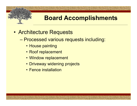

# Board Accomplishments From Processed various requests and accomplishments<br>
Architecture Requests<br>
- Processed various requests including:<br>
- Rest repleased:<br>
- Rest repleased:

- 
- **Example 19 Accomplish**<br>  **Architecture Requests<br>
 Processed various requests including Example 2016 Marsh 1986**<br>
• House painting<br>
• House painting<br>
• Roof replacement<br>
• Window replacement **Example 2016 Reducts**<br> **Example 2016 Reducts**<br>
Processed various requests in<br>
Processed various requests in<br>
Processed various requests<br>
Processed various requests<br>
Processed various requests<br>
Processed various requests **• Board Accomprese Board Accomprendication**<br>• Processed various requests i<br>• House painting<br>• Roof replacement<br>• Window replacement<br>• Driveway widening projects • Dear a Accomption<br>
• Prive Requests<br>
• Processed various requests including:<br>
• Roof replacement<br>
• Window replacement<br>
• Driveway widening projects<br>
• Fence installation **Chitecture Requests<br>Processed various requests i<br>• House painting<br>• Roof replacement<br>• Window replacement<br>• Driveway widening projects<br>• Fence installation** 
	-
	-
	-
	-
	-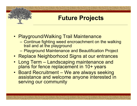# Future Projects

- 
- **Example: The Projects**<br>
 Playground/Walking Trail Maintenance<br>
 Playground/Walking Trail Maintenance<br>
 Continue fighting weed encroachment on the walking<br>
trail and at the playground Marketter **Continue fighting Continue fighting Continue fighting Trail Maintenance**<br>– Continue fighting Weed encroachment on the walking<br>– Continue fighting weed encroachment on the walking<br>– Playground Maintenance and Bea trail and at the playground Future Projects<br>
Playground/Walking Trail Maintenance<br>
- Continue fighting weed encroachment on the walking<br>
trail and at the playground<br>
- Playground Maintenance and Beautification Project<br>
Replace Neighborhood Signs at o • Playground/Walking Trail Maintenance<br>• Playground/Walking Trail Maintenance<br>• Continue fighting weed encroachment on the walking<br>trail and at the playground<br>• Replace Neighborhood Signs at our entrances<br>• Long Term – Lan
	-
- 
- Playground/Walking Trail Maintenance<br>• Continue fighting weed encroachment on the walking<br>trail and at the playground<br>• Playground Maintenance and Beautification Project<br>• Replace Neighborhood Signs at our entrances<br>• Lo plans for fence replacement in 10+ years
- Playground/Walking Trail Maintenance<br>
 Continue fighting weed encroachment on the walking<br>
trail and at the playground<br>
 Playground Maintenance and Beautification Project<br>
 Replace Neighborhood Signs at our entrances<br> assistance and welcome anyone interested in serving our community